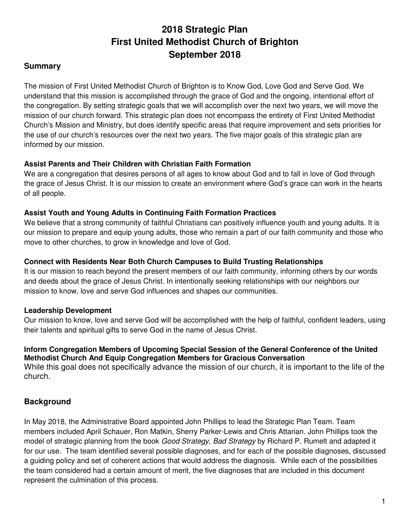# **2018 Strategic Plan First United Methodist Church of Brighton September 2018**

#### **Summary**

The mission of First United Methodist Church of Brighton is to Know God, Love God and Serve God. We understand that this mission is accomplished through the grace of God and the ongoing, intentional effort of the congregation. By setting strategic goals that we will accomplish over the next two years, we will move the mission of our church forward. This strategic plan does not encompass the entirety of First United Methodist Church's Mission and Ministry, but does identify specific areas that require improvement and sets priorities for the use of our church's resources over the next two years. The five major goals of this strategic plan are informed by our mission.

#### **Assist Parents and Their Children with Christian Faith Formation**

We are a congregation that desires persons of all ages to know about God and to fall in love of God through the grace of Jesus Christ. It is our mission to create an environment where God's grace can work in the hearts of all people.

#### **Assist Youth and Young Adults in Continuing Faith Formation Practices**

We believe that a strong community of faithful Christians can positively influence youth and young adults. It is our mission to prepare and equip young adults, those who remain a part of our faith community and those who move to other churches, to grow in knowledge and love of God.

#### **Connect with Residents Near Both Church Campuses to Build Trusting Relationships**

It is our mission to reach beyond the present members of our faith community, informing others by our words and deeds about the grace of Jesus Christ. In intentionally seeking relationships with our neighbors our mission to know, love and serve God influences and shapes our communities.

#### **Leadership Development**

Our mission to know, love and serve God will be accomplished with the help of faithful, confident leaders, using their talents and spiritual gifts to serve God in the name of Jesus Christ.

#### **Inform Congregation Members of Upcoming Special Session of the General Conference of the United Methodist Church And Equip Congregation Members for Gracious Conversation**

While this goal does not specifically advance the mission of our church, it is important to the life of the church.

#### **Background**

In May 2018, the Administrative Board appointed John Phillips to lead the Strategic Plan Team. Team members included April Schauer, Ron Matkin, Sherry Parker-Lewis and Chris Attarian. John Phillips took the model of strategic planning from the book *Good Strategy, Bad Strategy* by Richard P. Rumelt and adapted it for our use. The team identified several possible diagnoses, and for each of the possible diagnoses, discussed a guiding policy and set of coherent actions that would address the diagnosis. While each of the possibilities the team considered had a certain amount of merit, the five diagnoses that are included in this document represent the culmination of this process.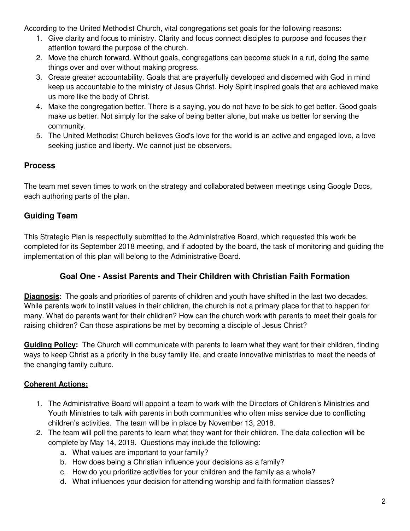According to the United Methodist Church, vital congregations set goals for the following reasons:

- 1. Give clarity and focus to ministry. Clarity and focus connect disciples to purpose and focuses their attention toward the purpose of the church.
- 2. Move the church forward. Without goals, congregations can become stuck in a rut, doing the same things over and over without making progress.
- 3. Create greater accountability. Goals that are prayerfully developed and discerned with God in mind keep us accountable to the ministry of Jesus Christ. Holy Spirit inspired goals that are achieved make us more like the body of Christ.
- 4. Make the congregation better. There is a saying, you do not have to be sick to get better. Good goals make us better. Not simply for the sake of being better alone, but make us better for serving the community.
- 5. The United Methodist Church believes God's love for the world is an active and engaged love, a love seeking justice and liberty. We cannot just be observers.

## **Process**

The team met seven times to work on the strategy and collaborated between meetings using Google Docs, each authoring parts of the plan.

# **Guiding Team**

This Strategic Plan is respectfully submitted to the Administrative Board, which requested this work be completed for its September 2018 meeting, and if adopted by the board, the task of monitoring and guiding the implementation of this plan will belong to the Administrative Board.

### **Goal One - Assist Parents and Their Children with Christian Faith Formation**

**Diagnosis**: The goals and priorities of parents of children and youth have shifted in the last two decades. While parents work to instill values in their children, the church is not a primary place for that to happen for many. What do parents want for their children? How can the church work with parents to meet their goals for raising children? Can those aspirations be met by becoming a disciple of Jesus Christ?

**Guiding Policy:** The Church will communicate with parents to learn what they want for their children, finding ways to keep Christ as a priority in the busy family life, and create innovative ministries to meet the needs of the changing family culture.

- 1. The Administrative Board will appoint a team to work with the Directors of Children's Ministries and Youth Ministries to talk with parents in both communities who often miss service due to conflicting children's activities. The team will be in place by November 13, 2018.
- 2. The team will poll the parents to learn what they want for their children. The data collection will be complete by May 14, 2019. Questions may include the following:
	- a. What values are important to your family?
	- b. How does being a Christian influence your decisions as a family?
	- c. How do you prioritize activities for your children and the family as a whole?
	- d. What influences your decision for attending worship and faith formation classes?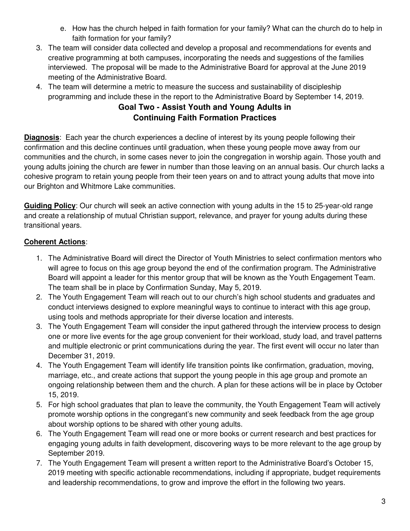- e. How has the church helped in faith formation for your family? What can the church do to help in faith formation for your family?
- 3. The team will consider data collected and develop a proposal and recommendations for events and creative programming at both campuses, incorporating the needs and suggestions of the families interviewed. The proposal will be made to the Administrative Board for approval at the June 2019 meeting of the Administrative Board.
- 4. The team will determine a metric to measure the success and sustainability of discipleship programming and include these in the report to the Administrative Board by September 14, 2019.

### **Goal Two - Assist Youth and Young Adults in Continuing Faith Formation Practices**

**Diagnosis**: Each year the church experiences a decline of interest by its young people following their confirmation and this decline continues until graduation, when these young people move away from our communities and the church, in some cases never to join the congregation in worship again. Those youth and young adults joining the church are fewer in number than those leaving on an annual basis. Our church lacks a cohesive program to retain young people from their teen years on and to attract young adults that move into our Brighton and Whitmore Lake communities.

**Guiding Policy**: Our church will seek an active connection with young adults in the 15 to 25-year-old range and create a relationship of mutual Christian support, relevance, and prayer for young adults during these transitional years.

- 1. The Administrative Board will direct the Director of Youth Ministries to select confirmation mentors who will agree to focus on this age group beyond the end of the confirmation program. The Administrative Board will appoint a leader for this mentor group that will be known as the Youth Engagement Team. The team shall be in place by Confirmation Sunday, May 5, 2019.
- 2. The Youth Engagement Team will reach out to our church's high school students and graduates and conduct interviews designed to explore meaningful ways to continue to interact with this age group, using tools and methods appropriate for their diverse location and interests.
- 3. The Youth Engagement Team will consider the input gathered through the interview process to design one or more live events for the age group convenient for their workload, study load, and travel patterns and multiple electronic or print communications during the year. The first event will occur no later than December 31, 2019.
- 4. The Youth Engagement Team will identify life transition points like confirmation, graduation, moving, marriage, etc., and create actions that support the young people in this age group and promote an ongoing relationship between them and the church. A plan for these actions will be in place by October 15, 2019.
- 5. For high school graduates that plan to leave the community, the Youth Engagement Team will actively promote worship options in the congregant's new community and seek feedback from the age group about worship options to be shared with other young adults.
- 6. The Youth Engagement Team will read one or more books or current research and best practices for engaging young adults in faith development, discovering ways to be more relevant to the age group by September 2019.
- 7. The Youth Engagement Team will present a written report to the Administrative Board's October 15, 2019 meeting with specific actionable recommendations, including if appropriate, budget requirements and leadership recommendations, to grow and improve the effort in the following two years.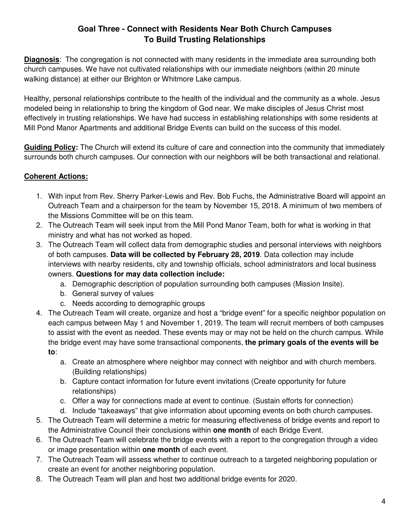### **Goal Three - Connect with Residents Near Both Church Campuses To Build Trusting Relationships**

**Diagnosis**: The congregation is not connected with many residents in the immediate area surrounding both church campuses. We have not cultivated relationships with our immediate neighbors (within 20 minute walking distance) at either our Brighton or Whitmore Lake campus.

Healthy, personal relationships contribute to the health of the individual and the community as a whole. Jesus modeled being in relationship to bring the kingdom of God near. We make disciples of Jesus Christ most effectively in trusting relationships. We have had success in establishing relationships with some residents at Mill Pond Manor Apartments and additional Bridge Events can build on the success of this model.

**Guiding Policy:** The Church will extend its culture of care and connection into the community that immediately surrounds both church campuses. Our connection with our neighbors will be both transactional and relational.

- 1. With input from Rev. Sherry Parker-Lewis and Rev. Bob Fuchs, the Administrative Board will appoint an Outreach Team and a chairperson for the team by November 15, 2018. A minimum of two members of the Missions Committee will be on this team.
- 2. The Outreach Team will seek input from the Mill Pond Manor Team, both for what is working in that ministry and what has not worked as hoped.
- 3. The Outreach Team will collect data from demographic studies and personal interviews with neighbors of both campuses. **Data will be collected by February 28, 2019**. Data collection may include interviews with nearby residents, city and township officials, school administrators and local business owners. **Questions for may data collection include:**
	- a. Demographic description of population surrounding both campuses (Mission Insite).
	- b. General survey of values
	- c. Needs according to demographic groups
- 4. The Outreach Team will create, organize and host a "bridge event" for a specific neighbor population on each campus between May 1 and November 1, 2019. The team will recruit members of both campuses to assist with the event as needed. These events may or may not be held on the church campus. While the bridge event may have some transactional components, **the primary goals of the events will be to**:
	- a. Create an atmosphere where neighbor may connect with neighbor and with church members. (Building relationships)
	- b. Capture contact information for future event invitations (Create opportunity for future relationships)
	- c. Offer a way for connections made at event to continue. (Sustain efforts for connection)
	- d. Include "takeaways" that give information about upcoming events on both church campuses.
- 5. The Outreach Team will determine a metric for measuring effectiveness of bridge events and report to the Administrative Council their conclusions within **one month** of each Bridge Event.
- 6. The Outreach Team will celebrate the bridge events with a report to the congregation through a video or image presentation within **one month** of each event.
- 7. The Outreach Team will assess whether to continue outreach to a targeted neighboring population or create an event for another neighboring population.
- 8. The Outreach Team will plan and host two additional bridge events for 2020.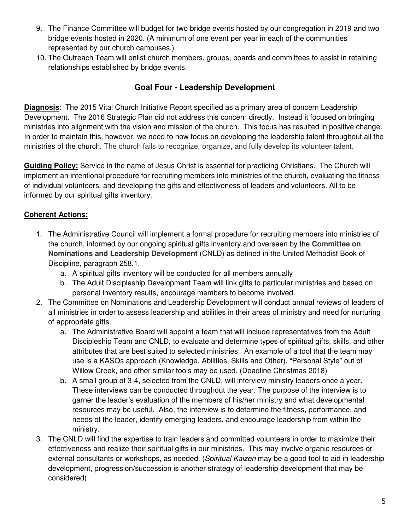- 9. The Finance Committee will budget for two bridge events hosted by our congregation in 2019 and two bridge events hosted in 2020. (A minimum of one event per year in each of the communities represented by our church campuses.)
- 10. The Outreach Team will enlist church members, groups, boards and committees to assist in retaining relationships established by bridge events.

### **Goal Four - Leadership Development**

**Diagnosis**: The 2015 Vital Church Initiative Report specified as a primary area of concern Leadership Development. The 2016 Strategic Plan did not address this concern directly. Instead it focused on bringing ministries into alignment with the vision and mission of the church. This focus has resulted in positive change. In order to maintain this, however, we need to now focus on developing the leadership talent throughout all the ministries of the church. The church fails to recognize, organize, and fully develop its volunteer talent.

**Guiding Policy:** Service in the name of Jesus Christ is essential for practicing Christians. The Church will implement an intentional procedure for recruiting members into ministries of the church, evaluating the fitness of individual volunteers, and developing the gifts and effectiveness of leaders and volunteers. All to be informed by our spiritual gifts inventory.

- 1. The Administrative Council will implement a formal procedure for recruiting members into ministries of the church, informed by our ongoing spiritual gifts inventory and overseen by the **Committee on Nominations and Leadership Development** (CNLD) as defined in the United Methodist Book of Discipline, paragraph 258.1.
	- a. A spiritual gifts inventory will be conducted for all members annually
	- b. The Adult Discipleship Development Team will link gifts to particular ministries and based on personal inventory results, encourage members to become involved.
- 2. The Committee on Nominations and Leadership Development will conduct annual reviews of leaders of all ministries in order to assess leadership and abilities in their areas of ministry and need for nurturing of appropriate gifts.
	- a. The Administrative Board will appoint a team that will include representatives from the Adult Discipleship Team and CNLD, to evaluate and determine types of spiritual gifts, skills, and other attributes that are best suited to selected ministries. An example of a tool that the team may use is a KASOs approach (Knowledge, Abilities, Skills and Other), "Personal Style" out of Willow Creek, and other similar tools may be used. (Deadline Christmas 2018)
	- b. A small group of 3-4, selected from the CNLD, will interview ministry leaders once a year. These interviews can be conducted throughout the year. The purpose of the interview is to garner the leader's evaluation of the members of his/her ministry and what developmental resources may be useful. Also, the interview is to determine the fitness, performance, and needs of the leader, identify emerging leaders, and encourage leadership from within the ministry.
- 3. The CNLD will find the expertise to train leaders and committed volunteers in order to maximize their effectiveness and realize their spiritual gifts in our ministries. This may involve organic resources or external consultants or workshops, as needed. (Spiritual Kaizen may be a good tool to aid in leadership development, progression/succession is another strategy of leadership development that may be considered)